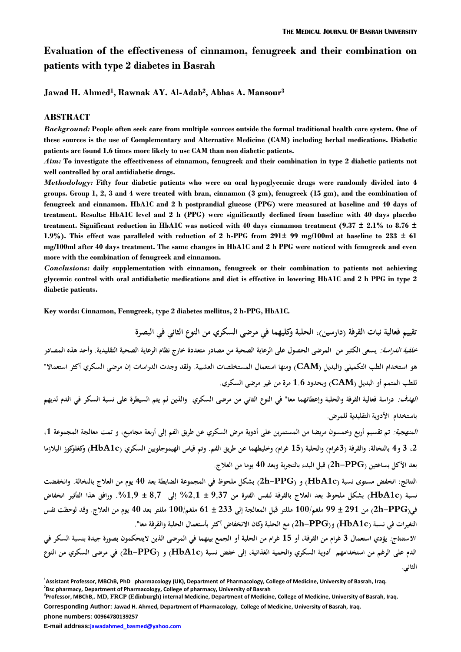# **Evaluation of the effectiveness of cinnamon, fenugreek and their combination on patients with type 2 diabetes in Basrah**

**Jawad H. Ahmed<sup>1</sup> , Rawnak AY. Al-Adab<sup>2</sup> , Abbas A. Mansour<sup>3</sup>**

#### **ABSTRACT**

*Background:* **People often seek care from multiple sources outside the formal traditional health care system. One of these sources is the use of Complementary and Alternative Medicine (CAM) including herbal medications. Diabetic patients are found 1.6 times more likely to use CAM than non diabetic patients.**

*Aim:* **To investigate the effectiveness of cinnamon, fenugreek and their combination in type 2 diabetic patients not well controlled by oral antidiabetic drugs.**

*Methodology:* **Fifty four diabetic patients who were on oral hypoglycemic drugs were randomly divided into 4 groups. Group 1, 2, 3 and 4 were treated with bran, cinnamon (3 gm), fenugreek (15 gm), and the combination of fenugreek and cinnamon. HbA1C and 2 h postprandial glucose (PPG) were measured at baseline and 40 days of treatment. Results: HbA1C level and 2 h (PPG) were significantly declined from baseline with 40 days placebo treatment. Significant reduction in HbA1C was noticed with 40 days cinnamon treatment (9.37 ± 2.1% to 8.76 ± 1.9%). This effect was paralleled with reduction of 2 h-PPG from 291± 99 mg/100ml at baseline to 233 ± 61 mg/100ml after 40 days treatment. The same changes in HbA1C and 2 h PPG were noticed with fenugreek and even more with the combination of fenugreek and cinnamon.**

*Conclusions:* **daily supplementation with cinnamon, fenugreek or their combination to patients not achieving glycemic control with oral antidiabetic medications and diet is effective in lowering HbA1C and 2 h PPG in type 2 diabetic patients.**

**Key words: Cinnamon, Fenugreek, type 2 diabetes mellitus, 2 h-PPG, HbA1C.**

**تقييم فعالية نبات القرفة )دارسين(, الحلبة وكليهما في مرضى السكري من النوع الثاني في البصرة خلفية الدراسة: يسعى الكثير من المرضى الحصول على الرعاية الصحية من مصادر متعددة خارج نظام الرعاية الصحية التقليدية. وأحد هذه المصادر هو استخدام الطب التكميلي والبديل )CAM )ومنها استعمال المستخلصات العشبية. ولقد وجدت الدراسات إن مرضى السكري أكثر استعماال" للطب المتمم أو البديل (CAM )وبحدود 6.1 مر ة من غير مرضى السكري.**

**الهدف: دراسة فعالية القرفة والحلبة وإعطائهما معا" في النوع الثاني من مرضى السكري والذين لم يتم السيطرة على نسبة السكر في الدم لديهم باستخدام األدوية التقليدية للمرض.**

**المنهجية: تم تقسيم أربع وخمسون مريضا من المستمرين على أدوية مرض السكري عن طريق الفم إلى أربعة مجاميع, و تمت معالجة المجموعة ,6 ,2 3 و4 بالنخالة, والقرفة )3غرام( والحلبة )61 غرام( وخليطهما عن طريق الفم. وتم قياس الهيموجلوبين السكري )c1HbA )وكغلوكو ز البالزما بعد األكل بساعتين )PPG-h2 )قبل البدء بالتجربة وبعد 44 يوما من العالج.** 

**النتائج: انخفض مستوى نسبة )c1HbA )و )PPG-h2 )بشكل ملحوظ في المجموعة الضابطة بعد 44 يوم من العالج بالنخالة. وانخفضت نسبة )c1HbA )بشكل ملحوظ بعد العالج بالقرفة لنفس الفترة من 7339 ± %236 إلى 739 ± .%637 ورافق هذا التأثير انخفاض في)PPG-h2 )من 276 ± 77 ملغم644/ مللتر قبل المعالجة إلى 233 ± 16 ملغم644/ مللتر بعد 44 يوم من العالج. وقد لوحظت نفس التغيرات في نسبة )c1HbA )و)PPG-h2 )مع الحلبة وكان االنخفاض أكثر بأستعمال الحلبة والقرفة معا".**

**االستنتاج: يؤدي استعمال 3 غرام من القرفة, أو 61 غرام من الحلبة أو الجمع بينهما في المرضى الذين اليتحكمون بصورة جيدة بنسبة السكر في الدم على الرغم من استخدامهم أدوية السكري والحمية الغذائية, إلى خفض نسبة )c1HbA )و )PPG-h2 )في مرضى السكري من النوع الثاني.**

**<sup>1</sup> Assistant Professor, MBChB, PhD pharmacology (UK), Department of Pharmacology, College of Medicine, University of Basrah, Iraq. 2 Bsc pharmacy, Department of Pharmacology, College of pharmacy, University of Basrah**

**<sup>3</sup> Professor, MBChB,. MD, FRCP (Edinburgh) internal Medicine, Department of Medicine, College of Medicine, University of Basrah, Iraq. Corresponding Author: Jawad H. Ahmed, Department of Pharmacology, College of Medicine, University of Basrah, Iraq.**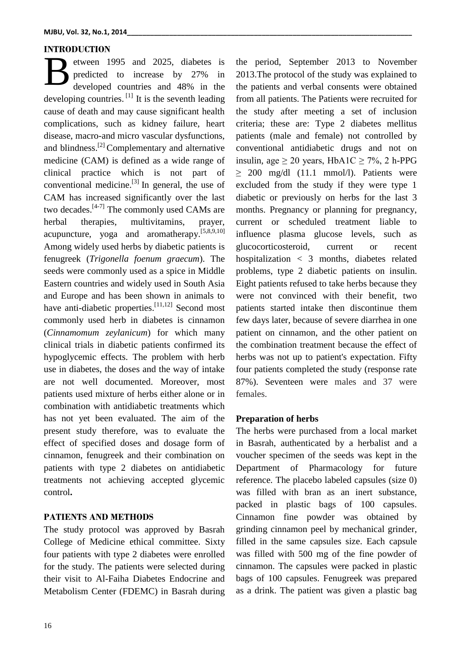## **INTRODUCTION**

etween 1995 and 2025, diabetes is predicted to increase by 27% in developed countries and 48% in the developing countries.  $\left[1\right]$  It is the seventh leading cause of death and may cause significant health complications, such as kidney failure, heart disease, macro-and micro vascular dysfunctions, and blindness.[2] Complementary and alternative medicine (CAM) is defined as a wide range of clinical practice which is not part of conventional medicine.<sup>[3]</sup> In general, the use of CAM has increased significantly over the last two decades. $[4-7]$  The commonly used CAMs are herbal therapies, multivitamins, prayer, acupuncture, yoga and aromatherapy.<sup>[5,8,9,10]</sup> Among widely used herbs by diabetic patients is fenugreek (*Trigonella foenum graecum*). The seeds were commonly used as a spice in Middle Eastern countries and widely used in South Asia and Europe and has been shown in animals to have anti-diabetic properties.  $[11,12]$  Second most commonly used herb in diabetes is cinnamon (*Cinnamomum zeylanicum*) for which many clinical trials in diabetic patients confirmed its hypoglycemic effects. The problem with herb use in diabetes, the doses and the way of intake are not well documented. Moreover, most patients used mixture of herbs either alone or in combination with antidiabetic treatments which has not yet been evaluated. The aim of the present study therefore, was to evaluate the effect of specified doses and dosage form of cinnamon, fenugreek and their combination on patients with type 2 diabetes on antidiabetic treatments not achieving accepted glycemic control**.** B

## **PATIENTS AND METHODS**

The study protocol was approved by Basrah College of Medicine ethical committee. Sixty four patients with type 2 diabetes were enrolled for the study. The patients were selected during their visit to Al-Faiha Diabetes Endocrine and Metabolism Center (FDEMC) in Basrah during the period, September 2013 to November 2013.The protocol of the study was explained to the patients and verbal consents were obtained from all patients. The Patients were recruited for the study after meeting a set of inclusion criteria; these are: Type 2 diabetes mellitus patients (male and female) not controlled by conventional antidiabetic drugs and not on insulin, age  $\geq 20$  years, HbA1C  $\geq 7\%$ , 2 h-PPG  $\geq$  200 mg/dl (11.1 mmol/l). Patients were excluded from the study if they were type 1 diabetic or previously on herbs for the last 3 months. Pregnancy or planning for pregnancy, current or scheduled treatment liable to influence plasma glucose levels, such as glucocorticosteroid, current or recent hospitalization < 3 months, diabetes related problems, type 2 diabetic patients on insulin. Eight patients refused to take herbs because they were not convinced with their benefit, two patients started intake then discontinue them few days later, because of severe diarrhea in one patient on cinnamon, and the other patient on the combination treatment because the effect of herbs was not up to patient's expectation. Fifty four patients completed the study (response rate 87%). Seventeen were males and 37 were females.

## **Preparation of herbs**

The herbs were purchased from a local market in Basrah, authenticated by a herbalist and a voucher specimen of the seeds was kept in the Department of Pharmacology for future reference. The placebo labeled capsules (size 0) was filled with bran as an inert substance, packed in plastic bags of 100 capsules. Cinnamon fine powder was obtained by grinding cinnamon peel by mechanical grinder, filled in the same capsules size. Each capsule was filled with 500 mg of the fine powder of cinnamon. The capsules were packed in plastic bags of 100 capsules. Fenugreek was prepared as a drink. The patient was given a plastic bag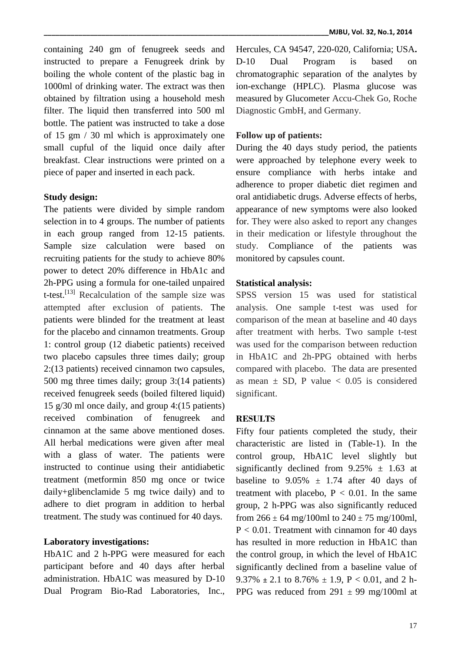containing 240 gm of fenugreek seeds and instructed to prepare a Fenugreek drink by boiling the whole content of the plastic bag in 1000ml of drinking water. The extract was then obtained by filtration using a household mesh filter. The liquid then transferred into 500 ml bottle. The patient was instructed to take a dose of 15 gm / 30 ml which is approximately one small cupful of the liquid once daily after breakfast. Clear instructions were printed on a piece of paper and inserted in each pack.

### **Study design:**

The patients were divided by simple random selection in to 4 groups. The number of patients in each group ranged from 12-15 patients. Sample size calculation were based on recruiting patients for the study to achieve 80% power to detect 20% difference in HbA1c and 2h-PPG using a formula for one-tailed unpaired t-test.<sup>[13]</sup> Recalculation of the sample size was attempted after exclusion of patients. The patients were blinded for the treatment at least for the placebo and cinnamon treatments. Group 1: control group (12 diabetic patients) received two placebo capsules three times daily; group 2:(13 patients) received cinnamon two capsules, 500 mg three times daily; group 3:(14 patients) received fenugreek seeds (boiled filtered liquid) 15 g/30 ml once daily, and group 4:(15 patients) received combination of fenugreek and cinnamon at the same above mentioned doses. All herbal medications were given after meal with a glass of water. The patients were instructed to continue using their antidiabetic treatment (metformin 850 mg once or twice daily+glibenclamide 5 mg twice daily) and to adhere to diet program in addition to herbal treatment. The study was continued for 40 days.

#### **Laboratory investigations:**

HbA1C and 2 h-PPG were measured for each participant before and 40 days after herbal administration. HbA1C was measured by D-10 Dual Program Bio-Rad Laboratories, Inc.,

Hercules, CA 94547, 220-020, California; USA**.** D-10 Dual Program is based on chromatographic separation of the analytes by ion-exchange (HPLC). Plasma glucose was measured by Glucometer Accu-Chek Go, Roche Diagnostic GmbH, and Germany.

### **Follow up of patients:**

During the 40 days study period, the patients were approached by telephone every week to ensure compliance with herbs intake and adherence to proper diabetic diet regimen and oral antidiabetic drugs. Adverse effects of herbs, appearance of new symptoms were also looked for. They were also asked to report any changes in their medication or lifestyle throughout the study. Compliance of the patients was monitored by capsules count.

### **Statistical analysis:**

SPSS version 15 was used for statistical analysis. One sample t-test was used for comparison of the mean at baseline and 40 days after treatment with herbs. Two sample t-test was used for the comparison between reduction in HbA1C and 2h-PPG obtained with herbs compared with placebo. The data are presented as mean  $\pm$  SD, P value  $\lt$  0.05 is considered significant.

#### **RESULTS**

Fifty four patients completed the study, their characteristic are listed in (Table-1). In the control group, HbA1C level slightly but significantly declined from  $9.25\% \pm 1.63$  at baseline to  $9.05\% \pm 1.74$  after 40 days of treatment with placebo,  $P < 0.01$ . In the same group, 2 h-PPG was also significantly reduced from  $266 \pm 64$  mg/100ml to  $240 \pm 75$  mg/100ml,  $P < 0.01$ . Treatment with cinnamon for 40 days has resulted in more reduction in HbA1C than the control group, in which the level of HbA1C significantly declined from a baseline value of 9.37%  $\pm$  2.1 to 8.76%  $\pm$  1.9, P < 0.01, and 2 h-PPG was reduced from  $291 \pm 99$  mg/100ml at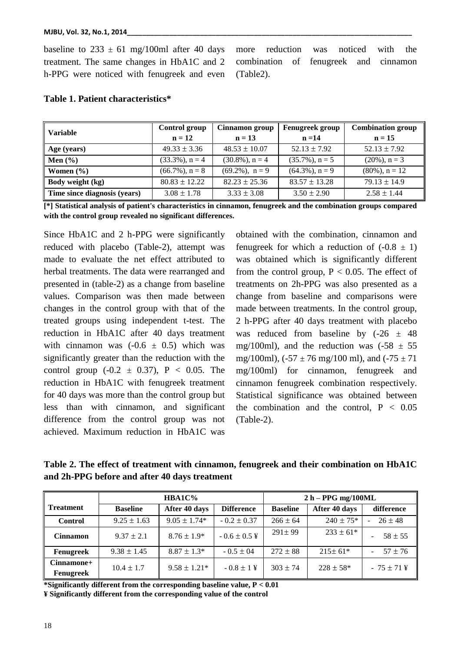baseline to  $233 \pm 61$  mg/100ml after 40 days treatment. The same changes in HbA1C and 2 h-PPG were noticed with fenugreek and even more reduction was noticed with the combination of fenugreek and cinnamon (Table2).

| <b>Variable</b>              | Control group      | Cinnamon group     | <b>Fenugreek group</b> | <b>Combination group</b> |  |
|------------------------------|--------------------|--------------------|------------------------|--------------------------|--|
|                              | $n = 12$           | $n = 13$           | $n = 14$               | $n = 15$                 |  |
| Age (years)                  | $49.33 \pm 3.36$   | $48.53 \pm 10.07$  | $52.13 \pm 7.92$       | $52.13 \pm 7.92$         |  |
| $\mathbf{Men}(\mathcal{C})$  | $(33.3\%)$ , n = 4 | $(30.8\%)$ , n = 4 | $(35.7\%)$ , n = 5     | $(20\%)$ , n = 3         |  |
| Women $(\% )$                | $(66.7\%)$ , n = 8 | $(69.2\%)$ , n = 9 | $(64.3\%)$ , n = 9     | $(80\%)$ , n = 12        |  |
| Body weight (kg)             | $80.83 \pm 12.22$  | $82.23 \pm 25.36$  | $83.57 \pm 13.28$      | $79.13 \pm 14.9$         |  |
| Time since diagnosis (years) | $3.08 \pm 1.78$    | $3.33 \pm 3.08$    | $3.50 \pm 2.90$        | $2.58 \pm 1.44$          |  |

## **Table 1. Patient characteristics\***

**[\*] Statistical analysis of patient's characteristics in cinnamon, fenugreek and the combination groups compared with the control group revealed no significant differences.**

Since HbA1C and 2 h-PPG were significantly reduced with placebo (Table-2), attempt was made to evaluate the net effect attributed to herbal treatments. The data were rearranged and presented in (table-2) as a change from baseline values. Comparison was then made between changes in the control group with that of the treated groups using independent t-test. The reduction in HbA1C after 40 days treatment with cinnamon was  $(-0.6 \pm 0.5)$  which was significantly greater than the reduction with the control group  $(-0.2 \pm 0.37)$ ,  $P < 0.05$ . The reduction in HbA1C with fenugreek treatment for 40 days was more than the control group but less than with cinnamon, and significant difference from the control group was not achieved. Maximum reduction in HbA1C was

obtained with the combination, cinnamon and fenugreek for which a reduction of  $(-0.8 \pm 1)$ was obtained which is significantly different from the control group,  $P < 0.05$ . The effect of treatments on 2h-PPG was also presented as a change from baseline and comparisons were made between treatments. In the control group, 2 h-PPG after 40 days treatment with placebo was reduced from baseline by  $(-26 \pm 48)$ mg/100ml), and the reduction was  $(-58 \pm 55$ mg/100ml),  $(-57 \pm 76 \text{ mg}/100 \text{ ml})$ , and  $(-75 \pm 71 \text{ m})$ mg/100ml) for cinnamon, fenugreek and cinnamon fenugreek combination respectively. Statistical significance was obtained between the combination and the control,  $P < 0.05$ (Table-2).

**Table 2. The effect of treatment with cinnamon, fenugreek and their combination on HbA1C and 2h-PPG before and after 40 days treatment**

|                           | HBA1C%          |                  |                   | $2 h - PPG$ mg/100ML |               |                           |
|---------------------------|-----------------|------------------|-------------------|----------------------|---------------|---------------------------|
| <b>Treatment</b>          | <b>Baseline</b> | After 40 days    | <b>Difference</b> | <b>Baseline</b>      | After 40 days | difference                |
| <b>Control</b>            | $9.25 \pm 1.63$ | $9.05 \pm 1.74*$ | $-0.2 \pm 0.37$   | $266 \pm 64$         | $240 \pm 75*$ | $26 \pm 48$<br>÷.         |
| <b>Cinnamon</b>           | $9.37 \pm 2.1$  | $8.76 \pm 1.9*$  | $-0.6 \pm 0.5$ ¥  | $291 \pm 99$         | $233 \pm 61*$ | $58 \pm 55$               |
| Fenugreek                 | $9.38 \pm 1.45$ | $8.87 \pm 1.3*$  | $-0.5 \pm 0.4$    | $272 \pm 88$         | $215 \pm 61*$ | $57 \pm 76$               |
| $Cinnamone+$<br>Fenugreek | $10.4 \pm 1.7$  | $9.58 \pm 1.21*$ | $-0.8 \pm 1$ ¥    | $303 \pm 74$         | $228 \pm 58*$ | $-75 \pm 71 \,\text{\AA}$ |

**\*Significantly different from the corresponding baseline value, P < 0.01 ¥ Significantly different from the corresponding value of the control**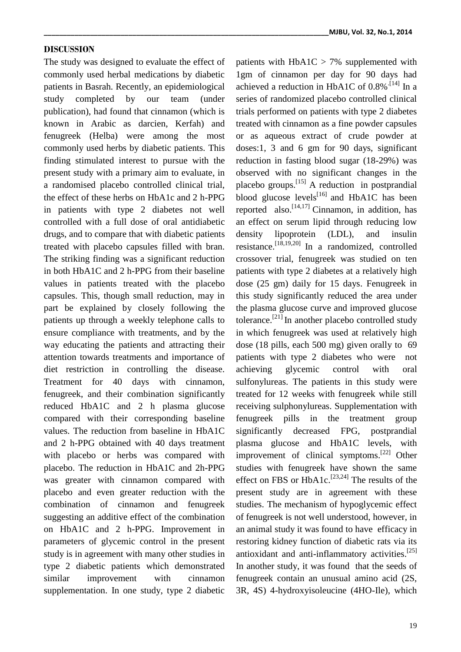### **DISCUSSION**

The study was designed to evaluate the effect of commonly used herbal medications by diabetic patients in Basrah. Recently, an epidemiological study completed by our team (under publication), had found that cinnamon (which is known in Arabic as darcien, Kerfah) and fenugreek (Helba) were among the most commonly used herbs by diabetic patients. This finding stimulated interest to pursue with the present study with a primary aim to evaluate, in a randomised placebo controlled clinical trial, the effect of these herbs on HbA1c and 2 h-PPG in patients with type 2 diabetes not well controlled with a full dose of oral antidiabetic drugs, and to compare that with diabetic patients treated with placebo capsules filled with bran. The striking finding was a significant reduction in both HbA1C and 2 h-PPG from their baseline values in patients treated with the placebo capsules. This, though small reduction, may in part be explained by closely following the patients up through a weekly telephone calls to ensure compliance with treatments, and by the way educating the patients and attracting their attention towards treatments and importance of diet restriction in controlling the disease. Treatment for 40 days with cinnamon, fenugreek, and their combination significantly reduced HbA1C and 2 h plasma glucose compared with their corresponding baseline values. The reduction from baseline in HbA1C and 2 h-PPG obtained with 40 days treatment with placebo or herbs was compared with placebo. The reduction in HbA1C and 2h-PPG was greater with cinnamon compared with placebo and even greater reduction with the combination of cinnamon and fenugreek suggesting an additive effect of the combination on HbA1C and 2 h-PPG. Improvement in parameters of glycemic control in the present study is in agreement with many other studies in type 2 diabetic patients which demonstrated similar improvement with cinnamon supplementation. In one study, type 2 diabetic

**\_\_\_\_\_\_\_\_\_\_\_\_\_\_\_\_\_\_\_\_\_\_\_\_\_\_\_\_\_\_\_\_\_\_\_\_\_\_\_\_\_\_\_\_\_\_\_\_\_\_\_\_\_\_\_\_\_\_\_\_\_\_\_\_\_\_\_\_\_\_\_\_\_\_MJBU, Vol. 32, No.1, 2014**

patients with  $HbA1C > 7%$  supplemented with 1gm of cinnamon per day for 90 days had achieved a reduction in HbA1C of  $0.8\%$ <sup>[14]</sup> In a series of randomized placebo controlled clinical trials performed on patients with type 2 diabetes treated with cinnamon as a fine powder capsules or as aqueous extract of crude powder at doses:1, 3 and 6 gm for 90 days, significant reduction in fasting blood sugar (18-29%) was observed with no significant changes in the placebo groups.[15] A reduction in postprandial blood glucose levels<sup>[16]</sup> and HbA1C has been reported also.<sup>[14,17]</sup> Cinnamon, in addition, has an effect on serum lipid through reducing low density lipoprotein (LDL), and insulin resistance. [18,19,20] In a randomized, controlled crossover trial, fenugreek was studied on ten patients with type 2 diabetes at a relatively high dose (25 gm) daily for 15 days. Fenugreek in this study significantly reduced the area under the plasma glucose curve and improved glucose tolerance.<sup>[21]</sup> In another placebo controlled study in which fenugreek was used at relatively high dose (18 pills, each 500 mg) given orally to 69 patients with type 2 diabetes who were not achieving glycemic control with oral sulfonylureas. The patients in this study were treated for 12 weeks with fenugreek while still receiving sulphonylureas. Supplementation with fenugreek pills in the treatment group significantly decreased FPG, postprandial plasma glucose and HbA1C levels, with improvement of clinical symptoms.<sup>[22]</sup> Other studies with fenugreek have shown the same effect on FBS or  $HbA1c$ .<sup>[23,24]</sup> The results of the present study are in agreement with these studies. The mechanism of hypoglycemic effect of fenugreek is not well understood, however, in an animal study it was found to have efficacy in restoring kidney function of diabetic rats via its antioxidant and anti-inflammatory activities.<sup>[25]</sup> In another study, it was found that the seeds of fenugreek contain an unusual amino acid (2S, 3R, 4S) 4-hydroxyisoleucine (4HO-Ile), which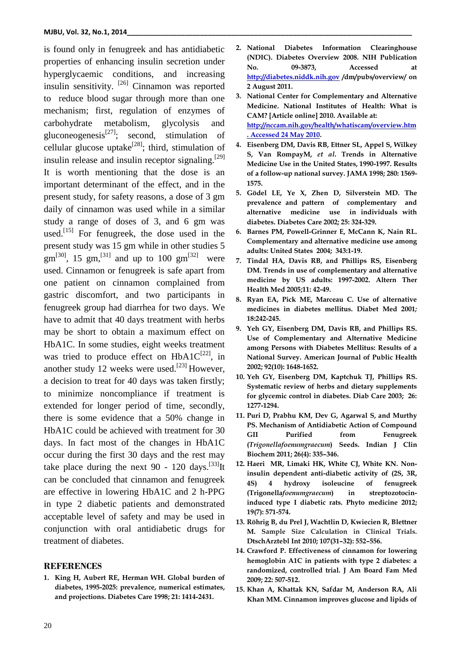is found only in fenugreek and has antidiabetic properties of enhancing insulin secretion under hyperglycaemic conditions, and increasing insulin sensitivity. [26] Cinnamon was reported to reduce blood sugar through more than one mechanism; first, regulation of enzymes of carbohydrate metabolism, glycolysis and gluconeogenesis<sup>[27]</sup>; second, stimulation of cellular glucose uptake<sup>[28]</sup>; third, stimulation of insulin release and insulin receptor signaling.<sup>[29]</sup> It is worth mentioning that the dose is an important determinant of the effect, and in the present study, for safety reasons, a dose of 3 gm daily of cinnamon was used while in a similar study a range of doses of 3, and 6 gm was used.<sup>[15]</sup> For fenugreek, the dose used in the present study was 15 gm while in other studies 5  $gm^{[30]}$ , 15  $gm^{[31]}$  and up to 100  $gm^{[32]}$  were used. Cinnamon or fenugreek is safe apart from one patient on cinnamon complained from gastric discomfort, and two participants in fenugreek group had diarrhea for two days. We have to admit that 40 days treatment with herbs may be short to obtain a maximum effect on HbA1C. In some studies, eight weeks treatment was tried to produce effect on  $HbA1C^{[22]}$ , in another study 12 weeks were used.<sup>[23]</sup> However, a decision to treat for 40 days was taken firstly; to minimize noncompliance if treatment is extended for longer period of time, secondly, there is some evidence that a 50% change in HbA1C could be achieved with treatment for 30 days. In fact most of the changes in HbA1C occur during the first 30 days and the rest may take place during the next 90 - 120 days.  $[33]$ It can be concluded that cinnamon and fenugreek are effective in lowering HbA1C and 2 h-PPG in type 2 diabetic patients and demonstrated acceptable level of safety and may be used in conjunction with oral antidiabetic drugs for treatment of diabetes.

#### **REFERENCES**

**1. King H, Aubert RE, Herman WH. Global burden of diabetes, 1995-2025: prevalence, numerical estimates, and projections. Diabetes Care 1998; 21: 1414-2431.**

- **2. National Diabetes Information Clearinghouse (NDIC). Diabetes Overview 2008. NIH Publication No. 09-3873, Accessed at [http://diabetes.niddk.nih.gov](http://diabetes.niddk.nih.gov/) /dm/pubs/overview/ on 2 August 2011.**
- **3. National Center for Complementary and Alternative Medicine. National Institutes of Health: What is CAM? [Article online] 2010. Available at: [http://nccam.nih.gov/health/whatiscam/overview.htm](http://nccam.nih.gov/health/whatiscam/overview.htm.%20Accessed%2024%20May%202010) [. Accessed 24 May 2010.](http://nccam.nih.gov/health/whatiscam/overview.htm.%20Accessed%2024%20May%202010)**
- **4. Eisenberg DM, Davis RB, Ettner SL, Appel S, Wilkey S, Van RompayM,** *et al***. Trends in Alternative Medicine Use in the United States, 1990-1997. Results of a follow-up national survey. JAMA 1998; 280: 1569- 1575.**
- **5. Gödel LE, Ye X, Zhen D, Silverstein MD. The prevalence and pattern of complementary and alternative medicine use in individuals with diabetes. Diabetes Care 2002; 25: 324-329.**
- **6. Barnes PM, Powell-Grinner E, McCann K, Nain RL. Complementary and alternative medicine use among adults: United States 2004; 343:1-19.**
- **7. Tindal HA, Davis RB, and Phillips RS, Eisenberg DM. Trends in use of complementary and alternative medicine by US adults: 1997-2002. Altern Ther Health Med 2005;11: 42-49.**
- **8. Ryan EA, Pick ME, Marceau C. Use of alternative medicines in diabetes mellitus. Diabet Med 2001***;*  **18:242-245.**
- **9. Yeh GY, Eisenberg DM, Davis RB, and Phillips RS. Use of Complementary and Alternative Medicine among Persons with Diabetes Mellitus: Results of a National Survey. American Journal of Public Health 2002; 92(10): 1648-1652.**
- **10. Yeh GY, Eisenberg DM, Kaptchuk TJ, Phillips RS. Systematic review of herbs and dietary supplements for glycemic control in diabetes. Diab Care 2003; 26: 1277-1294.**
- **11. [Puri](http://www.ncbi.nlm.nih.gov/pubmed/?term=Puri%20D%5Bauth%5D) D, [Prabhu](http://www.ncbi.nlm.nih.gov/pubmed/?term=Prabhu%20KM%5Bauth%5D) KM, [Dev](http://www.ncbi.nlm.nih.gov/pubmed/?term=Dev%20G%5Bauth%5D) G, [Agarwal](http://www.ncbi.nlm.nih.gov/pubmed/?term=Agarwal%20S%5Bauth%5D) S, and [Murthy](http://www.ncbi.nlm.nih.gov/pubmed/?term=Murthy%20PS%5Bauth%5D) PS. Mechanism of Antidiabetic Action of Compound GII Purified from Fenugreek (***Trigonellafoenumgraecum***) Seeds. Indian J Clin Biochem 2011; 26(4): 335–346.**
- **12. [Haeri MR,](http://www.ncbi.nlm.nih.gov/pubmed?term=Haeri%20MR%5BAuthor%5D&cauthor=true&cauthor_uid=22397995) [Limaki HK,](http://www.ncbi.nlm.nih.gov/pubmed?term=Limaki%20HK%5BAuthor%5D&cauthor=true&cauthor_uid=22397995) [White CJ,](http://www.ncbi.nlm.nih.gov/pubmed?term=White%20CJ%5BAuthor%5D&cauthor=true&cauthor_uid=22397995) [White KN.](http://www.ncbi.nlm.nih.gov/pubmed?term=White%20KN%5BAuthor%5D&cauthor=true&cauthor_uid=22397995) Noninsulin dependent anti-diabetic activity of (2S, 3R, 4S) 4 hydroxy isoleucine of fenugreek (Trigonella***foenumgraecum***) in streptozotocininduced type I diabetic rats. Phyto [medicine](http://www.ncbi.nlm.nih.gov/pubmed/22397995) 2012; 19(7): 571-574.**
- **13. Röhrig B, du Prel J, Wachtlin D, Kwiecien R, Blettner M. Sample Size Calculation in Clinical Trials. DtschArztebl Int 2010; 107(31–32): 552–556.**
- **14. Crawford P. Effectiveness of cinnamon for lowering hemoglobin A1C in patients with type 2 diabetes: a randomized, controlled trial. J Am Board Fam Med 2009; 22: 507-512.**
- **15. Khan A, Khattak KN, Safdar M, Anderson RA, Ali Khan MM. Cinnamon improves glucose and lipids of**